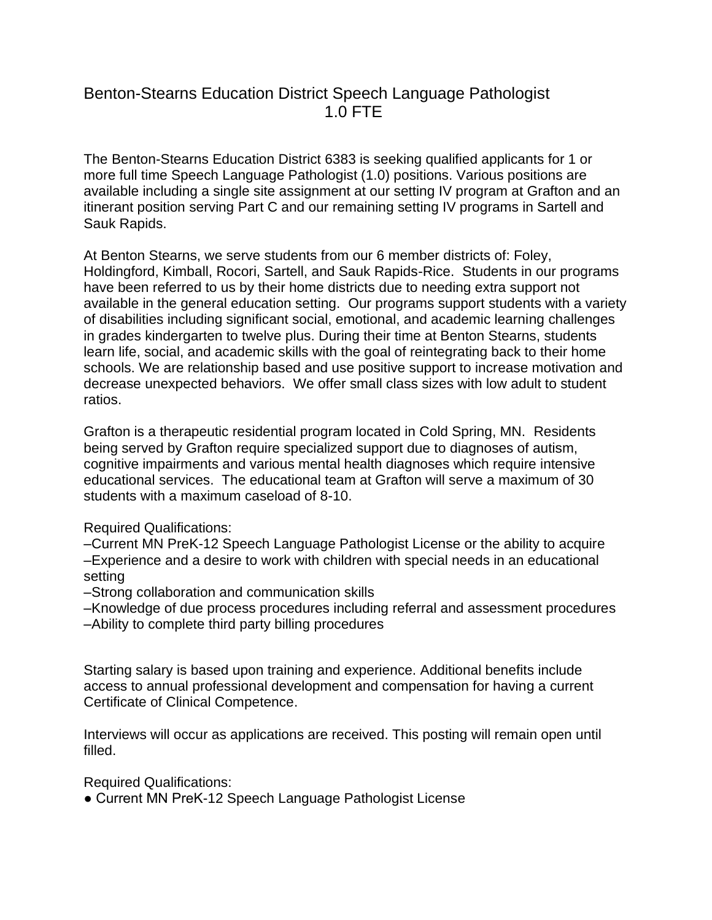## Benton-Stearns Education District Speech Language Pathologist 1.0 FTE

The Benton-Stearns Education District 6383 is seeking qualified applicants for 1 or more full time Speech Language Pathologist (1.0) positions. Various positions are available including a single site assignment at our setting IV program at Grafton and an itinerant position serving Part C and our remaining setting IV programs in Sartell and Sauk Rapids.

At Benton Stearns, we serve students from our 6 member districts of: Foley, Holdingford, Kimball, Rocori, Sartell, and Sauk Rapids-Rice. Students in our programs have been referred to us by their home districts due to needing extra support not available in the general education setting. Our programs support students with a variety of disabilities including significant social, emotional, and academic learning challenges in grades kindergarten to twelve plus. During their time at Benton Stearns, students learn life, social, and academic skills with the goal of reintegrating back to their home schools. We are relationship based and use positive support to increase motivation and decrease unexpected behaviors. We offer small class sizes with low adult to student ratios.

Grafton is a therapeutic residential program located in Cold Spring, MN. Residents being served by Grafton require specialized support due to diagnoses of autism, cognitive impairments and various mental health diagnoses which require intensive educational services. The educational team at Grafton will serve a maximum of 30 students with a maximum caseload of 8-10.

Required Qualifications:

–Current MN PreK-12 Speech Language Pathologist License or the ability to acquire –Experience and a desire to work with children with special needs in an educational setting

–Strong collaboration and communication skills

–Knowledge of due process procedures including referral and assessment procedures –Ability to complete third party billing procedures

Starting salary is based upon training and experience. Additional benefits include access to annual professional development and compensation for having a current Certificate of Clinical Competence.

Interviews will occur as applications are received. This posting will remain open until filled.

Required Qualifications:

● Current MN PreK-12 Speech Language Pathologist License